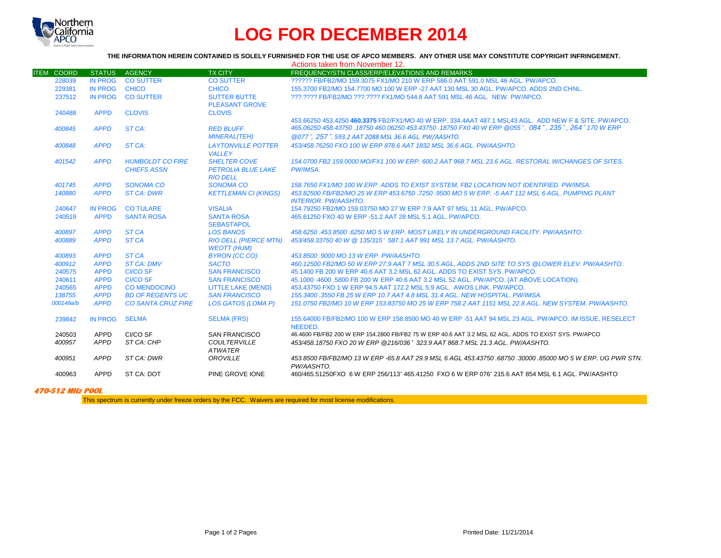

## **LOG FOR DECEMBER 2014**

## **THE INFORMATION HEREIN CONTAINED IS SOLELY FURNISHED FOR THE USE OF APCO MEMBERS. ANY OTHER USE MAY CONSTITUTE COPYRIGHT INFRINGEMENT.**

|                   |                |                           |                              | Actions taken from November 12.                                                                             |
|-------------------|----------------|---------------------------|------------------------------|-------------------------------------------------------------------------------------------------------------|
| <b>ITEM COORD</b> | <b>STATUS</b>  | <b>AGENCY</b>             | <b>TX CITY</b>               | FREQUENCY/STN CLASS/ERP/ELEVATIONS AND REMARKS                                                              |
| 228039            | <b>IN PROG</b> | <b>CO SUTTER</b>          | <b>CO SUTTER</b>             | ?????? FB/FB2/MO 159.3075 FX1/MO 210 W ERP 586.0 AAT 591.0 MSL 46 AGL, PW/APCO,                             |
| 229381            | <b>IN PROG</b> | <b>CHICO</b>              | <b>CHICO</b>                 | 155,3700 FB2/MO 154,7700 MO 100 W ERP -27 AAT 130 MSL 30 AGL, PW/APCO, ADDS 2ND CHNL.                       |
| 237512            | IN PROG        | <b>CO SUTTER</b>          | <b>SUTTER BUTTE</b>          | 222.2222 FB/FB2/MO 222.2222 FX1/MO 544.8 AAT 591 MSL 46 AGL. NEW. PW/APCO.                                  |
|                   |                |                           | <b>PLEASANT GROVE</b>        |                                                                                                             |
| 240488            | <b>APPD</b>    | <b>CLOVIS</b>             | <b>CLOVIS</b>                |                                                                                                             |
|                   |                |                           |                              | 453.66250 453.4250 460.3375 FB2/FX1/MO 40 W ERP, 334.4AAT 487.1 MSL43 AGL, ADD NEW F & SITE, PW/APCO,       |
| 400845            | <b>APPD</b>    | ST CA:                    | <b>RED BLUFF</b>             | 465.06250 458.43750 .18750 460.06250 453.43750 .18750 FX0 40 W ERP @055°, 084°, 235°, 264° 170 W ERP        |
|                   |                |                           | <b>MINERAL(TEH)</b>          | @077°, 257°, 593.2 AAT 2088 MSL 36.6 AGL, PW/AASHTO,                                                        |
| 400848            | <b>APPD</b>    | ST CA:                    | <b>LAYTONVILLE POTTER</b>    | 453/458.76250 FXO 100 W ERP 878.6 AAT 1832 MSL 36.6 AGL, PW/AASHTO.                                         |
|                   |                |                           | <b>VALLEY</b>                |                                                                                                             |
| 401542            | <b>APPD</b>    | <b>HUMBOLDT CO FIRE</b>   | <b>SHELTER COVE</b>          | 154.0700 FB2 159.0000 MO/FX1 100 W ERP, 600.2 AAT 968.7 MSL 23.6 AGL, RESTORAL W/CHANGES OF SITES.          |
|                   |                | <b>CHIEFS ASSN</b>        | <b>PETROLIA BLUE LAKE</b>    | PW/IMSA.                                                                                                    |
|                   |                |                           | <b>RIO DELL</b>              |                                                                                                             |
| 401745            | <b>APPD</b>    | <b>SONOMA CO</b>          | <b>SONOMA CO</b>             | 158.7650 FX1/MO 100 W ERP. ADDS TO EXIST SYSTEM. FB2 LOCATION NOT IDENTIFIED. PW/IMSA.                      |
| 140880            | <b>APPD</b>    | <b>ST CA: DWR</b>         | <b>KETTLEMAN CI (KINGS)</b>  | 453.82500 FB/FB2/MO 25 W ERP 453.6750 .7250 .9500 MO 5 W ERP. -5 AAT 112 MSL 6 AGL. PUMPING PLANT           |
|                   |                |                           |                              | <b>INTERIOR. PW/AASHTO.</b>                                                                                 |
| 240647            | <b>IN PROG</b> | <b>CO TULARE</b>          | <b>VISALIA</b>               | 154.79250 FB2/MO 159.03750 MO 27 W ERP 7.9 AAT 97 MSL 11 AGL, PW/APCO.                                      |
| 240519            | <b>APPD</b>    | <b>SANTA ROSA</b>         | <b>SANTA ROSA</b>            | 465.61250 FXO 40 W ERP -51.2 AAT 28 MSL 5.1 AGL. PW/APCO.                                                   |
|                   |                |                           | <b>SEBASTAPOL</b>            |                                                                                                             |
| 400897            | <b>APPD</b>    | ST <sub>CA</sub>          | <b>LOS BANOS</b>             | 458.6250.453.8500.6250 MO 5 W ERP. MOST LIKELY IN UNDERGROUND FACILITY. PW/AASHTO.                          |
| 400889            | <b>APPD</b>    | ST <sub>CA</sub>          | <b>RIO DELL (PIERCE MTN)</b> | 453/458.33750 40 W @ 135/315° 587.1 AAT 991 MSL 13.7 AGL, PW/AASHTO.                                        |
|                   |                |                           | <b>WEOTT (HUM)</b>           |                                                                                                             |
| 400893            | <b>APPD</b>    | ST <sub>CA</sub>          | <b>BYRON (CC CO)</b>         | 453.8500 .9000 MO 13 W ERP. PW/AASHTO.                                                                      |
| 400912            | <b>APPD</b>    | <b>ST CA: DMV</b>         | <b>SACTO</b>                 | 460.12500 FB2/MO 50 W ERP 27.9 AAT 7 MSL 30.5 AGL. ADDS 2ND SITE TO SYS @LOWER ELEV. PW/AASHTO.             |
| 240575            | <b>APPD</b>    | <b>CI/CO SF</b>           | <b>SAN FRANCISCO</b>         | 45.1400 FB 200 W ERP 40.6 AAT 3.2 MSL 62 AGL. ADDS TO EXIST SYS. PW/APCO.                                   |
| 240611            | <b>APPD</b>    | <b>CI/CO SF</b>           | <b>SAN FRANCISCO</b>         | 45.1000 .4600 .5800 FB 200 W ERP 40.6 AAT 3.2 MSL 52 AGL. PW/APCO. (AT ABOVE LOCATION).                     |
| 240565            | <b>APPD</b>    | <b>CO MENDOCINO</b>       | <b>LITTLE LAKE (MEND)</b>    | 453.43750 FXO 1 W ERP 94.5 AAT 172.2 MSL 5.9 AGL. AWOS LINK, PW/APCO.                                       |
| 138755            | <b>APPD</b>    | <b>BD OF REGENTS UC</b>   | <b>SAN FRANCISCO</b>         | 155.3400 .3550 FB 25 W ERP 10.7 AAT 4.8 MSL 31.4 AGL, NEW HOSPITAL, PW/IMSA.                                |
| 000149a/b         | <b>APPD</b>    | <b>CO SANTA CRUZ FIRE</b> | <b>LOS GATOS (LOMA P)</b>    | 151.0750 FB2/MO 10 W ERP 153.83750 MO 25 W ERP 758.2 AAT 1151 MSL 22.8 AGL. NEW SYSTEM, PW/AASHTO.          |
| 239842            | <b>IN PROG</b> | <b>SELMA</b>              | <b>SELMA (FRS)</b>           | 155,64000 FB/FB2/MO 100 W ERP 158,8500 MO 40 W ERP -51 AAT 94 MSL 23 AGL. PW/APCO, IM ISSUE, RESELECT       |
|                   |                |                           |                              | NEEDED.                                                                                                     |
| 240503            | APPD           | CI/CO SF                  | <b>SAN FRANCISCO</b>         | 46.4600 FB/FB2 200 W ERP 154.2800 FB/FB2 75 W ERP 40.6 AAT 3.2 MSL 62 AGL, ADDS TO EXIST SYS, PW/APCO       |
| 400957            | <b>APPD</b>    | ST CA: CHP                | <b>COULTERVILLE</b>          | 453/458.18750 FXO 20 W ERP @216/036° 323.9 AAT 868.7 MSL 21.3 AGL, PW/AASHTO,                               |
|                   |                |                           | <b>ATWATER</b>               |                                                                                                             |
| 400951            | <b>APPD</b>    | ST CA: DWR                | <b>OROVILLE</b>              | .453.8500 FB/FB2/MO 13 W ERP -65.8 AAT 29.9 MSL 6 AGL 453.43750 .68750 .30000 .85000 MO 5 W ERP. UG PWR STN |
|                   |                |                           |                              | PW/AASHTO.                                                                                                  |
| 400963            | <b>APPD</b>    | ST CA: DOT                | PINE GROVE IONE              | 460/465.51250 FXO 6 W ERP 256/113° 465.41250 FXO 6 W ERP 076° 215.6 AAT 854 MSL 6.1 AGL. PW/AASHTO          |
|                   |                |                           |                              |                                                                                                             |

## **470-512 MHz POOL**

This spectrum is currently under freeze orders by the FCC. Waivers are required for most license modifications.